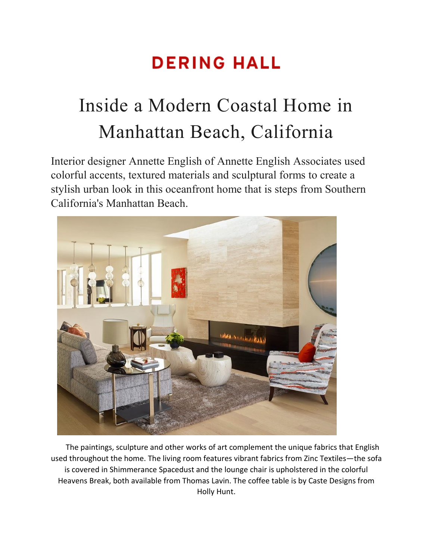## **DERING HALL**

## Inside a Modern Coastal Home in Manhattan Beach, California

Interior designer Annette English of [Annette English Associates](https://deringhall.com/interior-designers/annette-english-associates) used colorful accents, textured materials and sculptural forms to create a stylish urban look in this oceanfront home that is steps from Southern California's Manhattan Beach.



The paintings, sculpture and other works of art complement the unique fabrics that English used throughout the home. The living room features vibrant fabrics from Zinc Textiles—the sofa is covered in Shimmerance Spacedust and the lounge chair is upholstered in the colorful Heavens Break, both available from Thomas Lavin. The coffee table is by Caste Designs from Holly Hunt.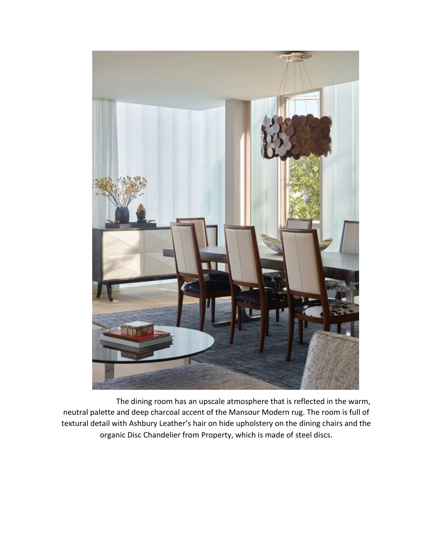

The dining room has an upscale atmosphere that is reflected in the warm, neutral palette and deep charcoal accent of the Mansour Modern rug. The room is full of textural detail with Ashbury Leather's hair on hide upholstery on the dining chairs and the organic Disc Chandelier from Property, which is made of steel discs.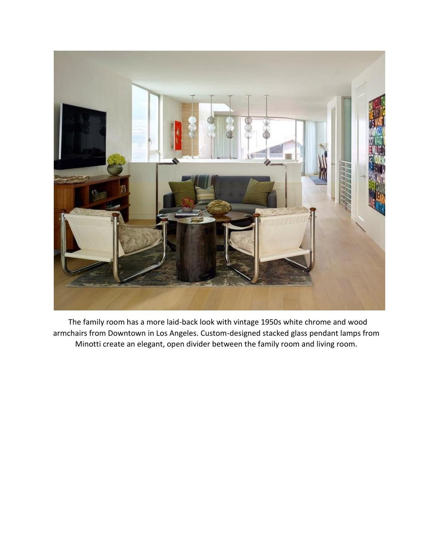

The family room has a more laid-back look with vintage 1950s white chrome and wood armchairs from Downtown in Los Angeles. Custom-designed stacked glass pendant lamps from Minotti create an elegant, open divider between the family room and living room.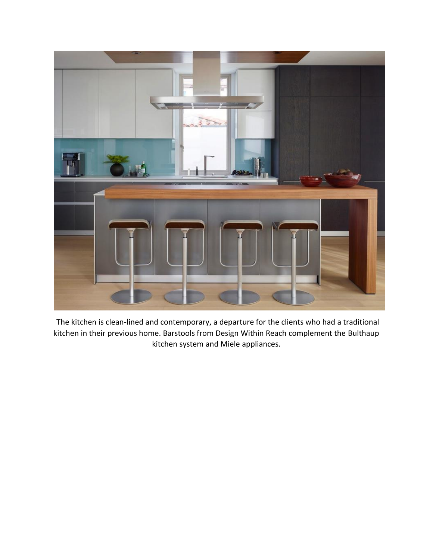

The kitchen is clean-lined and contemporary, a departure for the clients who had a traditional kitchen in their previous home. Barstools from Design Within Reach complement the Bulthaup kitchen system and Miele appliances.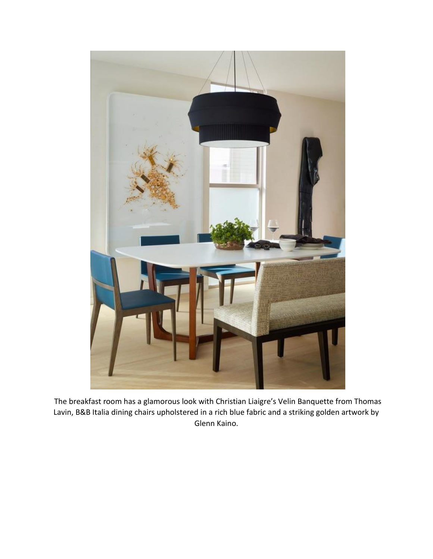

The breakfast room has a glamorous look with Christian Liaigre's Velin Banquette from Thomas Lavin, B&B Italia dining chairs upholstered in a rich blue fabric and a striking golden artwork by Glenn Kaino.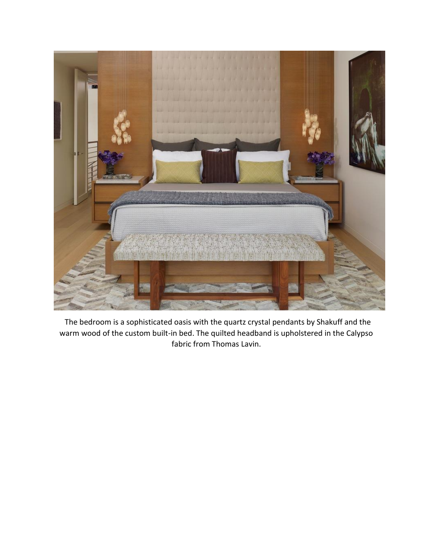

The bedroom is a sophisticated oasis with the quartz crystal pendants by Shakuff and the warm wood of the custom built-in bed. The quilted headband is upholstered in the Calypso fabric from Thomas Lavin.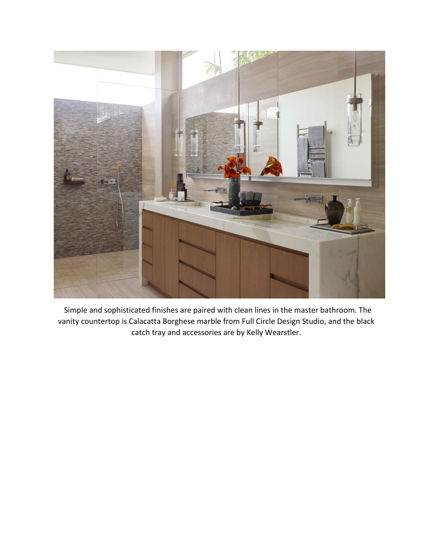

Simple and sophisticated finishes are paired with clean lines in the master bathroom. The vanity countertop is Calacatta Borghese marble from Full Circle Design Studio, and the black catch tray and accessories are by Kelly Wearstler.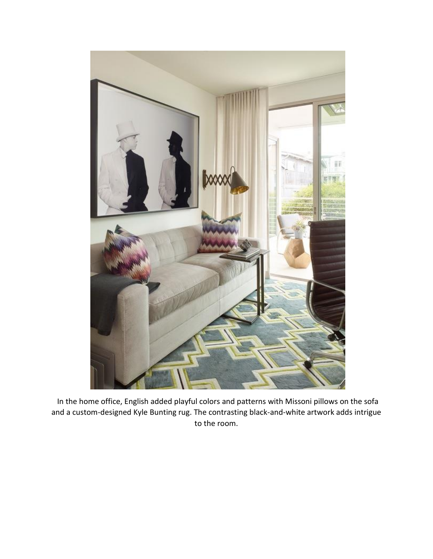

In the home office, English added playful colors and patterns with Missoni pillows on the sofa and a custom-designed Kyle Bunting rug. The contrasting black-and-white artwork adds intrigue to the room.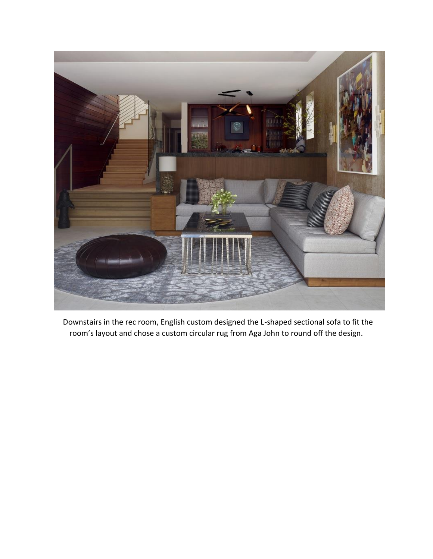

Downstairs in the rec room, English custom designed the L-shaped sectional sofa to fit the room's layout and chose a custom circular rug from Aga John to round off the design.